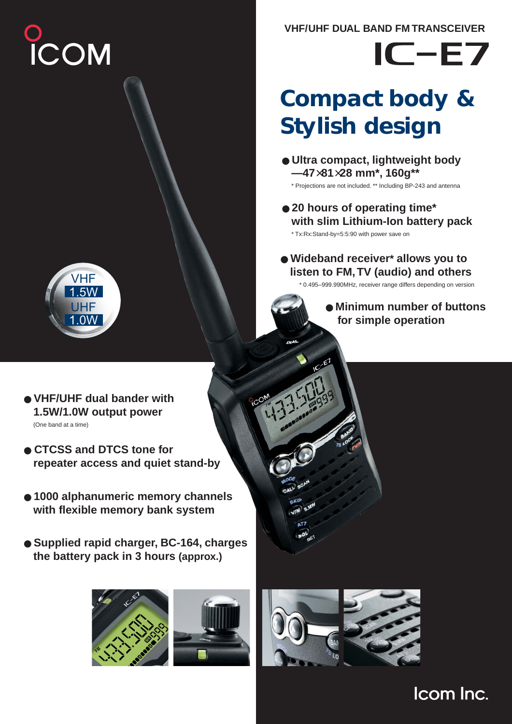# )<br>ICOM

**VHF/UHF DUAL BAND FM TRANSCEIVER**

# $IC$ -E7

# **Compact body & Stylish design**

- **Ultra compact, lightweight body —47**×**81**×**28 mm\*, 160g\*\***
	- \* Projections are not included. \*\* Including BP-243 and antenna
- **20 hours of operating time\* with slim Lithium-Ion battery pack** \* Tx:Rx:Stand-by=5:5:90 with power save on
- **Wideband receiver\* allows you to listen to FM, TV (audio) and others**

\* 0.495–999.990MHz, receiver range differs depending on version

● **Minimum number of buttons for simple operation**



- **VHF/UHF dual bander with 1.5W/1.0W output power**  (One band at a time)
- **CTCSS and DTCS tone for repeater access and quiet stand-by**
- **1000 alphanumeric memory channels with flexible memory bank system**
- **Supplied rapid charger, BC-164, charges the battery pack in 3 hours (approx.)**





# Icom Inc.